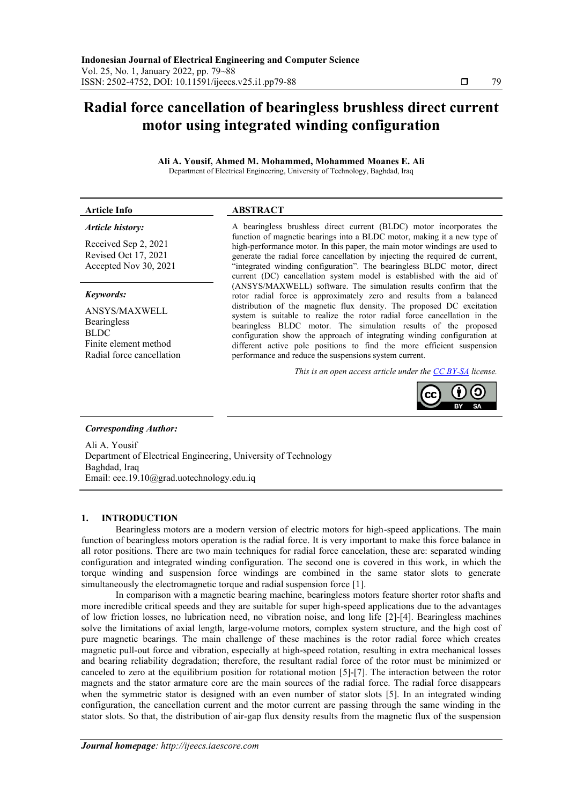# **Radial force cancellation of bearingless brushless direct current motor using integrated winding configuration**

**Ali A. Yousif, Ahmed M. Mohammed, Mohammed Moanes E. Ali** Department of Electrical Engineering, University of Technology, Baghdad, Iraq

### **Article Info ABSTRACT**

## *Article history:*

Received Sep 2, 2021 Revised Oct 17, 2021 Accepted Nov 30, 2021

#### *Keywords:*

ANSYS/MAXWELL Bearingless BLDC Finite element method Radial force cancellation A bearingless brushless direct current (BLDC) motor incorporates the function of magnetic bearings into a BLDC motor, making it a new type of high-performance motor. In this paper, the main motor windings are used to generate the radial force cancellation by injecting the required dc current, "integrated winding configuration". The bearingless BLDC motor, direct current (DC) cancellation system model is established with the aid of (ANSYS/MAXWELL) software. The simulation results confirm that the rotor radial force is approximately zero and results from a balanced distribution of the magnetic flux density. The proposed DC excitation system is suitable to realize the rotor radial force cancellation in the bearingless BLDC motor. The simulation results of the proposed configuration show the approach of integrating winding configuration at different active pole positions to find the more efficient suspension performance and reduce the suspensions system current.

*This is an open access article under the [CC BY-SA](https://creativecommons.org/licenses/by-sa/4.0/) license.*



#### *Corresponding Author:*

Ali A. Yousif Department of Electrical Engineering, University of Technology Baghdad, Iraq Email: [eee.19.10@grad.uotechnology.edu.iq](mailto:eee.19.10@grad.uotechnology.edu.iq)

#### **1. INTRODUCTION**

Bearingless motors are a modern version of electric motors for high-speed applications. The main function of bearingless motors operation is the radial force. It is very important to make this force balance in all rotor positions. There are two main techniques for radial force cancelation, these are: separated winding configuration and integrated winding configuration. The second one is covered in this work, in which the torque winding and suspension force windings are combined in the same stator slots to generate simultaneously the electromagnetic torque and radial suspension force [\[1\]](#page-8-0).

In comparison with a magnetic bearing machine, bearingless motors feature shorter rotor shafts and more incredible critical speeds and they are suitable for super high-speed applications due to the advantages of low friction losses, no lubrication need, no vibration noise, and long life [\[2\]-\[4\]](#page-8-1). Bearingless machines solve the limitations of axial length, large-volume motors, complex system structure, and the high cost of pure magnetic bearings. The main challenge of these machines is the rotor radial force which creates magnetic pull-out force and vibration, especially at high-speed rotation, resulting in extra mechanical losses and bearing reliability degradation; therefore, the resultant radial force of the rotor must be minimized or canceled to zero at the equilibrium position for rotational motion [\[5\]-\[7\]](#page-8-2). The interaction between the rotor magnets and the stator armature core are the main sources of the radial force. The radial force disappears when the symmetric stator is designed with an even number of stator slots [\[5\]](#page-8-2). In an integrated winding configuration, the cancellation current and the motor current are passing through the same winding in the stator slots. So that, the distribution of air-gap flux density results from the magnetic flux of the suspension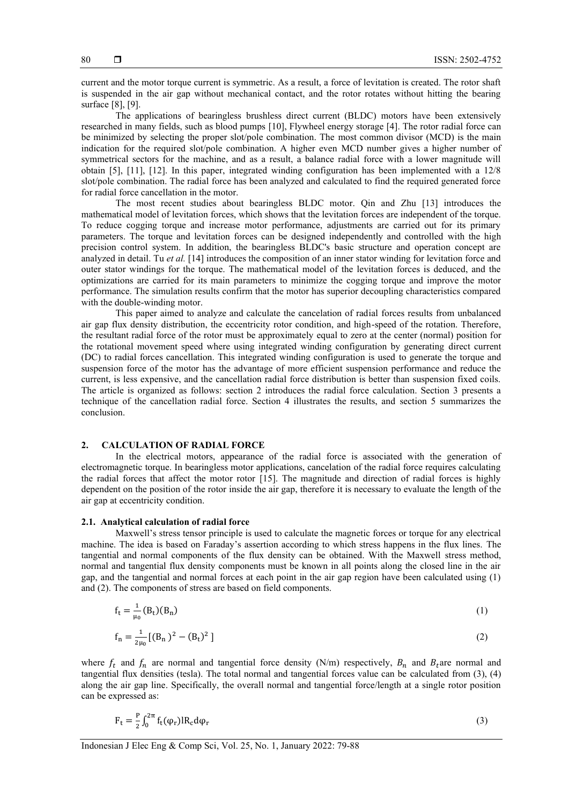current and the motor torque current is symmetric. As a result, a force of levitation is created. The rotor shaft is suspended in the air gap without mechanical contact, and the rotor rotates without hitting the bearing surface [\[8\]](#page-8-3), [\[9\]](#page-8-4).

The applications of bearingless brushless direct current (BLDC) motors have been extensively researched in many fields, such as blood pumps [\[10\]](#page-8-5), Flywheel energy storage [\[4\]](#page-8-6). The rotor radial force can be minimized by selecting the proper slot/pole combination. The most common divisor (MCD) is the main indication for the required slot/pole combination. A higher even MCD number gives a higher number of symmetrical sectors for the machine, and as a result, a balance radial force with a lower magnitude will obtain [\[5\]](#page-8-2), [\[11\]](#page-8-7), [\[12\]](#page-8-8). In this paper, integrated winding configuration has been implemented with a 12/8 slot/pole combination. The radial force has been analyzed and calculated to find the required generated force for radial force cancellation in the motor.

The most recent studies about bearingless BLDC motor. Qin and Zhu [\[13\]](#page-8-9) introduces the mathematical model of levitation forces, which shows that the levitation forces are independent of the torque. To reduce cogging torque and increase motor performance, adjustments are carried out for its primary parameters. The torque and levitation forces can be designed independently and controlled with the high precision control system. In addition, the bearingless BLDC's basic structure and operation concept are analyzed in detail. Tu *et al.* [\[14\]](#page-8-10) introduces the composition of an inner stator winding for levitation force and outer stator windings for the torque. The mathematical model of the levitation forces is deduced, and the optimizations are carried for its main parameters to minimize the cogging torque and improve the motor performance. The simulation results confirm that the motor has superior decoupling characteristics compared with the double-winding motor.

This paper aimed to analyze and calculate the cancelation of radial forces results from unbalanced air gap flux density distribution, the eccentricity rotor condition, and high-speed of the rotation. Therefore, the resultant radial force of the rotor must be approximately equal to zero at the center (normal) position for the rotational movement speed where using integrated winding configuration by generating direct current (DC) to radial forces cancellation. This integrated winding configuration is used to generate the torque and suspension force of the motor has the advantage of more efficient suspension performance and reduce the current, is less expensive, and the cancellation radial force distribution is better than suspension fixed coils. The article is organized as follows: section 2 introduces the radial force calculation. Section 3 presents a technique of the cancellation radial force. Section 4 illustrates the results, and section 5 summarizes the conclusion.

#### **2. CALCULATION OF RADIAL FORCE**

In the electrical motors, appearance of the radial force is associated with the generation of electromagnetic torque. In bearingless motor applications, cancelation of the radial force requires calculating the radial forces that affect the motor rotor [\[15\]](#page-8-11). The magnitude and direction of radial forces is highly dependent on the position of the rotor inside the air gap, therefore it is necessary to evaluate the length of the air gap at eccentricity condition.

#### **2.1. Analytical calculation of radial force**

Maxwell's stress tensor principle is used to calculate the magnetic forces or torque for any electrical machine. The idea is based on Faraday's assertion according to which stress happens in the flux lines. The tangential and normal components of the flux density can be obtained. With the Maxwell stress method, normal and tangential flux density components must be known in all points along the closed line in the air gap, and the tangential and normal forces at each point in the air gap region have been calculated using (1) and (2). The components of stress are based on field components.

$$
f_t = \frac{1}{\mu_0} (B_t) (B_n)
$$
 (1)

$$
f_n = \frac{1}{2\mu_0} \left[ (B_n)^2 - (B_t)^2 \right] \tag{2}
$$

where  $f_t$  and  $f_n$  are normal and tangential force density (N/m) respectively,  $B_n$  and  $B_t$  are normal and tangential flux densities (tesla). The total normal and tangential forces value can be calculated from (3), (4) along the air gap line. Specifically, the overall normal and tangential force/length at a single rotor position can be expressed as:

$$
F_t = \frac{P}{2} \int_0^{2\pi} f_t(\varphi_r) IR_c d\varphi_r \tag{3}
$$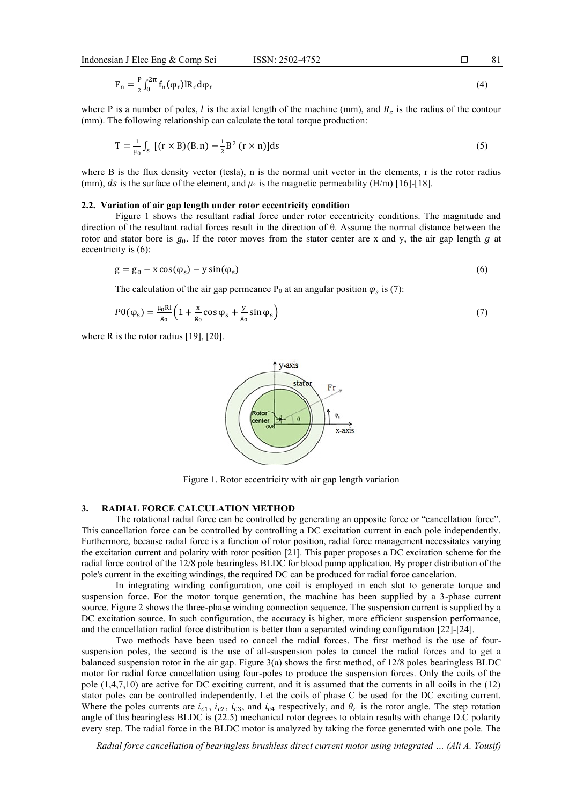$$
F_n = \frac{P}{2} \int_0^{2\pi} f_n(\varphi_r) IR_c d\varphi_r \tag{4}
$$

where P is a number of poles,  $l$  is the axial length of the machine (mm), and  $R_c$  is the radius of the contour (mm). The following relationship can calculate the total torque production:

$$
T = \frac{1}{\mu_0} \int_{S} \left[ (r \times B)(B, n) - \frac{1}{2} B^2 (r \times n) \right] ds \tag{5}
$$

where B is the flux density vector (tesla), n is the normal unit vector in the elements, r is the rotor radius (mm), ds is the surface of the element, and  $\mu$  is the magnetic permeability (H/m) [\[16\]-\[18\]](#page-8-12).

#### **2.2. Variation of air gap length under rotor eccentricity condition**

Figure 1 shows the resultant radial force under rotor eccentricity conditions. The magnitude and direction of the resultant radial forces result in the direction of θ. Assume the normal distance between the rotor and stator bore is  $g_0$ . If the rotor moves from the stator center are x and y, the air gap length  $g$  at eccentricity is (6):

$$
g = g_0 - x\cos(\varphi_s) - y\sin(\varphi_s) \tag{6}
$$

The calculation of the air gap permeance  $P_0$  at an angular position  $\varphi_s$  is (7):

$$
P0(\varphi_s) = \frac{\mu_0 \text{Rl}}{g_0} \left( 1 + \frac{x}{g_0} \cos \varphi_s + \frac{y}{g_0} \sin \varphi_s \right) \tag{7}
$$

where R is the rotor radius [\[19\]](#page-9-0), [\[20\]](#page-9-1).



Figure 1. Rotor eccentricity with air gap length variation

#### **3. RADIAL FORCE CALCULATION METHOD**

The rotational radial force can be controlled by generating an opposite force or "cancellation force". This cancellation force can be controlled by controlling a DC excitation current in each pole independently. Furthermore, because radial force is a function of rotor position, radial force management necessitates varying the excitation current and polarity with rotor position [\[21\]](#page-9-2). This paper proposes a DC excitation scheme for the radial force control of the 12/8 pole bearingless BLDC for blood pump application. By proper distribution of the pole's current in the exciting windings, the required DC can be produced for radial force cancelation.

In integrating winding configuration, one coil is employed in each slot to generate torque and suspension force. For the motor torque generation, the machine has been supplied by a 3-phase current source. Figure 2 shows the three-phase winding connection sequence. The suspension current is supplied by a DC excitation source. In such configuration, the accuracy is higher, more efficient suspension performance, and the cancellation radial force distribution is better than a separated winding configuration [\[22\]-\[24\]](#page-9-3).

Two methods have been used to cancel the radial forces. The first method is the use of foursuspension poles, the second is the use of all-suspension poles to cancel the radial forces and to get a balanced suspension rotor in the air gap. Figure 3(a) shows the first method, of 12/8 poles bearingless BLDC motor for radial force cancellation using four-poles to produce the suspension forces. Only the coils of the pole (1,4,7,10) are active for DC exciting current, and it is assumed that the currents in all coils in the (12) stator poles can be controlled independently. Let the coils of phase C be used for the DC exciting current. Where the poles currents are  $i_{c1}$ ,  $i_{c2}$ ,  $i_{c3}$ , and  $i_{c4}$  respectively, and  $\theta_r$  is the rotor angle. The step rotation angle of this bearingless BLDC is (22.5) mechanical rotor degrees to obtain results with change D.C polarity every step. The radial force in the BLDC motor is analyzed by taking the force generated with one pole. The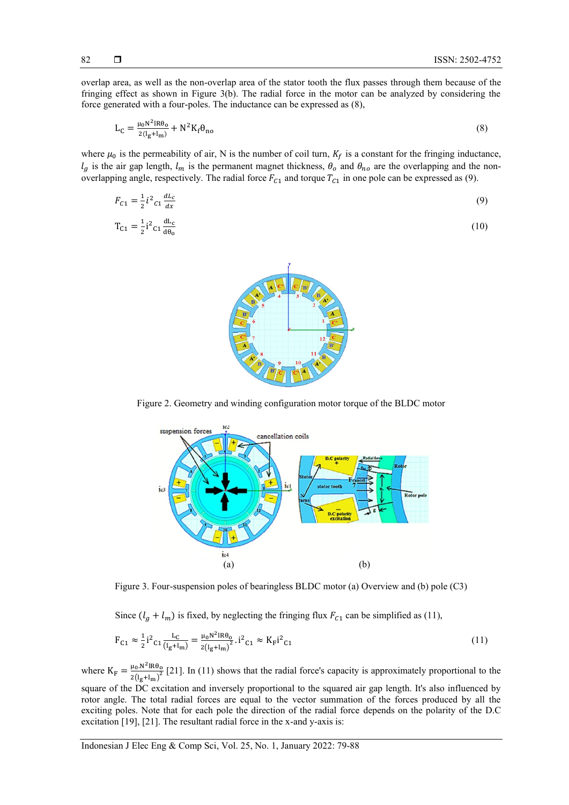overlap area, as well as the non-overlap area of the stator tooth the flux passes through them because of the fringing effect as shown in Figure 3(b). The radial force in the motor can be analyzed by considering the force generated with a four-poles. The inductance can be expressed as (8),

$$
L_C = \frac{\mu_0 N^2 IR \theta_0}{2(l_g + l_m)} + N^2 K_f \theta_{no}
$$
\n
$$
\tag{8}
$$

where  $\mu_0$  is the permeability of air, N is the number of coil turn,  $K_f$  is a constant for the fringing inductance,  $l_g$  is the air gap length,  $l_m$  is the permanent magnet thickness,  $\theta_o$  and  $\theta_{no}$  are the overlapping and the nonoverlapping angle, respectively. The radial force  $F_{c1}$  and torque  $T_{c1}$  in one pole can be expressed as (9).

$$
F_{C1} = \frac{1}{2} i^2 c_1 \frac{dL_c}{dx}
$$
 (9)

$$
T_{C1} = \frac{1}{2}i^2 c_1 \frac{dL_c}{d\theta_0}
$$
 (10)



Figure 2. Geometry and winding configuration motor torque of the BLDC motor



Figure 3. Four-suspension poles of bearingless BLDC motor (a) Overview and (b) pole (C3)

Since  $(l_g + l_m)$  is fixed, by neglecting the fringing flux  $F_{c1}$  can be simplified as (11),

$$
F_{C1} \approx \frac{1}{2} i^2 c_1 \frac{L_C}{(l_g + l_m)} = \frac{\mu_0 N^2 I R \theta_0}{2(l_g + l_m)^2} \cdot i^2 c_1 \approx K_F i^2 c_1 \tag{11}
$$

where  $K_F = \frac{\mu_0 N^2 IR \theta_0}{2(1+1)^2}$  $\frac{\mu_0 \ln m_0}{2(l_g+l_m)^2}$  [\[21\]](#page-9-2). In (11) shows that the radial force's capacity is approximately proportional to the

square of the DC excitation and inversely proportional to the squared air gap length. It's also influenced by rotor angle. The total radial forces are equal to the vector summation of the forces produced by all the exciting poles. Note that for each pole the direction of the radial force depends on the polarity of the D.C excitation [\[19\]](#page-9-0), [\[21\]](#page-9-2). The resultant radial force in the x-and y-axis is:

Indonesian J Elec Eng & Comp Sci, Vol. 25, No. 1, January 2022: 79-88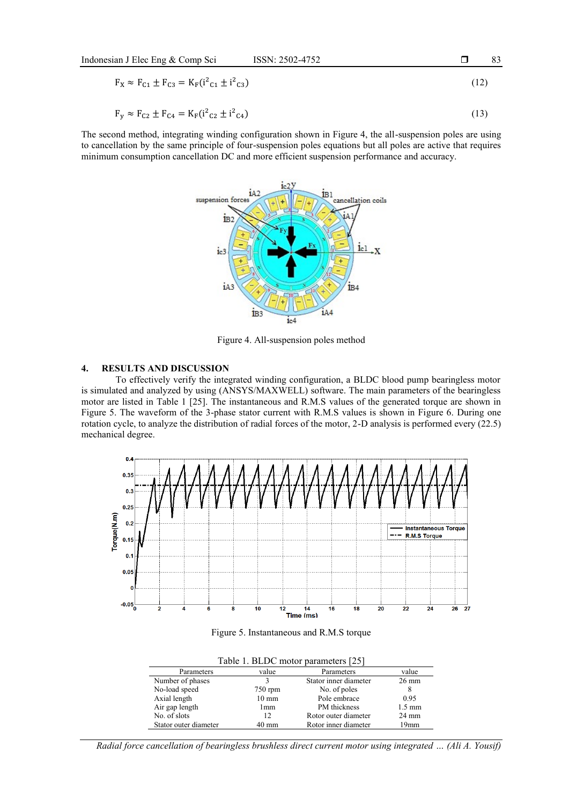$$
F_X \approx F_{C1} \pm F_{C3} = K_F (i^2{}_{C1} \pm i^2{}_{C3})
$$
\n(12)

$$
F_y \approx F_{C2} \pm F_{C4} = K_F(i^2{}_{C2} \pm i^2{}_{C4})
$$
\n(13)

The second method, integrating winding configuration shown in Figure 4, the all-suspension poles are using to cancellation by the same principle of four-suspension poles equations but all poles are active that requires minimum consumption cancellation DC and more efficient suspension performance and accuracy.



Figure 4. All-suspension poles method

## **4. RESULTS AND DISCUSSION**

To effectively verify the integrated winding configuration, a BLDC blood pump bearingless motor is simulated and analyzed by using (ANSYS/MAXWELL) software. The main parameters of the bearingless motor are listed in Table 1 [\[25\]](#page-9-4). The instantaneous and R.M.S values of the generated torque are shown in Figure 5. The waveform of the 3-phase stator current with R.M.S values is shown in Figure 6. During one rotation cycle, to analyze the distribution of radial forces of the motor, 2-D analysis is performed every (22.5) mechanical degree.



Figure 5. Instantaneous and R.M.S torque

| Table 1. BLDC motor parameters [25] |                 |                       |                  |  |  |
|-------------------------------------|-----------------|-----------------------|------------------|--|--|
| Parameters                          | value           | Parameters            | value            |  |  |
| Number of phases                    |                 | Stator inner diameter | $26 \text{ mm}$  |  |  |
| No-load speed                       | $750$ rpm       | No. of poles          | 8                |  |  |
| Axial length                        | $10 \text{ mm}$ | Pole embrace          | 0.95             |  |  |
| Air gap length                      | 1mm             | PM thickness          | $1.5 \text{ mm}$ |  |  |
| No. of slots                        | 12              | Rotor outer diameter  | $24 \text{ mm}$  |  |  |
| Stator outer diameter               | $40 \text{ mm}$ | Rotor inner diameter  | 19mm             |  |  |

*Radial force cancellation of bearingless brushless direct current motor using integrated … (Ali A. Yousif)*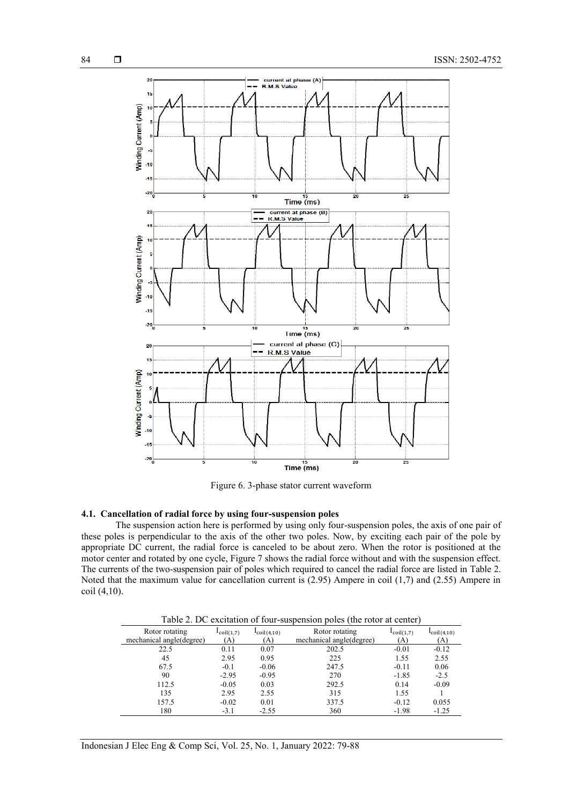

Figure 6. 3-phase stator current waveform

#### **4.1. Cancellation of radial force by using four-suspension poles**

The suspension action here is performed by using only four-suspension poles, the axis of one pair of these poles is perpendicular to the axis of the other two poles. Now, by exciting each pair of the pole by appropriate DC current, the radial force is canceled to be about zero. When the rotor is positioned at the motor center and rotated by one cycle, Figure 7 shows the radial force without and with the suspension effect. The currents of the two-suspension pair of poles which required to cancel the radial force are listed in Table 2. Noted that the maximum value for cancellation current is (2.95) Ampere in coil (1,7) and (2.55) Ampere in coil (4,10).

Table 2. DC excitation of four-suspension poles (the rotor at center)

| Rotor rotating<br>mechanical angle(degree) | $l_{\text{coil}(1,7)}$<br>(A) | $l_{\text{coil}(4,10)}$<br>(A) | Rotor rotating<br>mechanical angle(degree) | $l_{\text{coil}(1,7)}$<br>(A) | $l_{\text{coil}(4,10)}$<br>(A) |
|--------------------------------------------|-------------------------------|--------------------------------|--------------------------------------------|-------------------------------|--------------------------------|
| 22.5                                       | 0.11                          | 0.07                           | 202.5                                      | $-0.01$                       | $-0.12$                        |
| 45                                         | 2.95                          | 0.95                           | 225                                        | 1.55                          | 2.55                           |
| 67.5                                       | $-0.1$                        | $-0.06$                        | 247.5                                      | $-0.11$                       | 0.06                           |
| 90                                         | $-2.95$                       | $-0.95$                        | 270                                        | $-1.85$                       | $-2.5$                         |
| 112.5                                      | $-0.05$                       | 0.03                           | 292.5                                      | 0.14                          | $-0.09$                        |
| 135                                        | 2.95                          | 2.55                           | 315                                        | 1.55                          |                                |
| 157.5                                      | $-0.02$                       | 0.01                           | 337.5                                      | $-0.12$                       | 0.055                          |
| 180                                        | $-3.1$                        | $-2.55$                        | 360                                        | $-1.98$                       | $-1.25$                        |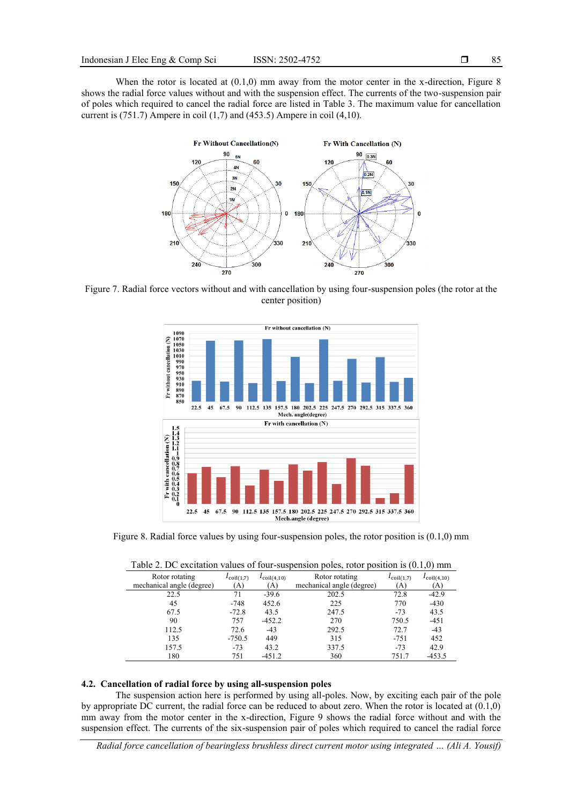When the rotor is located at  $(0.1,0)$  mm away from the motor center in the x-direction, Figure 8 shows the radial force values without and with the suspension effect. The currents of the two-suspension pair of poles which required to cancel the radial force are listed in Table 3. The maximum value for cancellation current is  $(751.7)$  Ampere in coil  $(1,7)$  and  $(453.5)$  Ampere in coil  $(4,10)$ .



Figure 7. Radial force vectors without and with cancellation by using four-suspension poles (the rotor at the center position)



Figure 8. Radial force values by using four-suspension poles, the rotor position is (0.1,0) mm

|                           |                        |                         |                           |                        | $\cdot$ $\cdot$         |
|---------------------------|------------------------|-------------------------|---------------------------|------------------------|-------------------------|
| Rotor rotating            | $I_{\text{coil}(1,7)}$ | $I_{\text{coil}(4,10)}$ | Rotor rotating            | $I_{\text{coil}(1,7)}$ | $I_{\text{coil}(4,10)}$ |
| mechanical angle (degree) | (A)                    | (A)                     | mechanical angle (degree) | A)                     | (A)                     |
| 22.5                      | 71                     | $-39.6$                 | 202.5                     | 72.8                   | $-42.9$                 |
| 45                        | $-748$                 | 452.6                   | 225                       | 770                    | $-430$                  |
| 67.5                      | $-72.8$                | 43.5                    | 247.5                     | $-73$                  | 43.5                    |
| 90                        | 757                    | $-452.2$                | 270                       | 750.5                  | $-451$                  |
| 112.5                     | 72.6                   | $-43$                   | 292.5                     | 72.7                   | $-43$                   |
| 135                       | $-750.5$               | 449                     | 315                       | $-751$                 | 452                     |
| 157.5                     | $-73$                  | 43.2                    | 337.5                     | $-73$                  | 42.9                    |
| 180                       | 751                    | $-451.2$                | 360                       | 751.7                  | $-453.5$                |

Table 2. DC excitation values of four-suspension poles, rotor position is (0.1,0) mm

#### **4.2. Cancellation of radial force by using all-suspension poles**

The suspension action here is performed by using all-poles. Now, by exciting each pair of the pole by appropriate DC current, the radial force can be reduced to about zero. When the rotor is located at (0.1,0) mm away from the motor center in the x-direction, Figure 9 shows the radial force without and with the suspension effect. The currents of the six-suspension pair of poles which required to cancel the radial force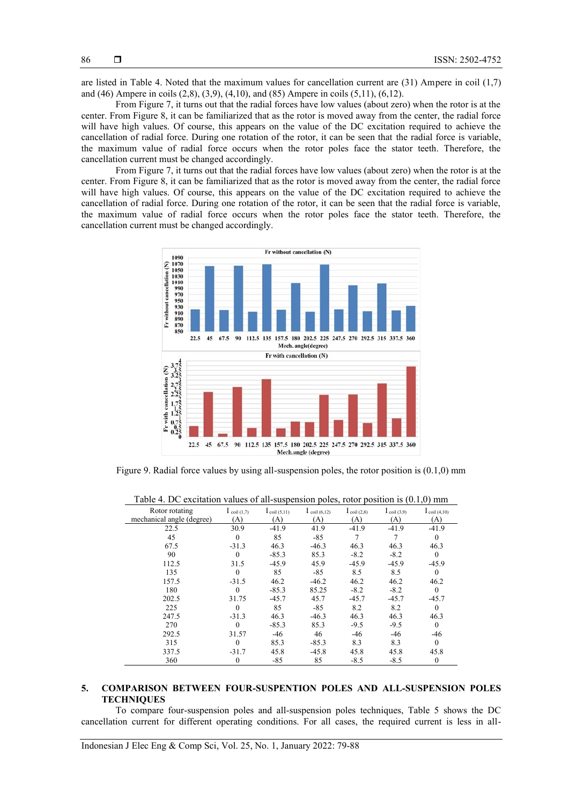are listed in Table 4. Noted that the maximum values for cancellation current are (31) Ampere in coil (1,7) and (46) Ampere in coils (2,8), (3,9), (4,10), and (85) Ampere in coils (5,11), (6,12).

From Figure 7, it turns out that the radial forces have low values (about zero) when the rotor is at the center. From Figure 8, it can be familiarized that as the rotor is moved away from the center, the radial force will have high values. Of course, this appears on the value of the DC excitation required to achieve the cancellation of radial force. During one rotation of the rotor, it can be seen that the radial force is variable, the maximum value of radial force occurs when the rotor poles face the stator teeth. Therefore, the cancellation current must be changed accordingly.

From Figure 7, it turns out that the radial forces have low values (about zero) when the rotor is at the center. From Figure 8, it can be familiarized that as the rotor is moved away from the center, the radial force will have high values. Of course, this appears on the value of the DC excitation required to achieve the cancellation of radial force. During one rotation of the rotor, it can be seen that the radial force is variable, the maximum value of radial force occurs when the rotor poles face the stator teeth. Therefore, the cancellation current must be changed accordingly.



Figure 9. Radial force values by using all-suspension poles, the rotor position is (0.1,0) mm

|                           |                |                         |                         | $\frac{1}{2}$           |                         | 101111                            |
|---------------------------|----------------|-------------------------|-------------------------|-------------------------|-------------------------|-----------------------------------|
| Rotor rotating            | I coil $(1,7)$ | $l_{\text{coil}(5,11)}$ | $I_{\text{coil}(6,12)}$ | $I_{\text{coil (2,8)}}$ | $I_{\text{coil (3,9)}}$ | $\mathbf{1}_{\text{coil (4,10)}}$ |
| mechanical angle (degree) | (A)            | (A)                     | (A)                     | (A)                     | (A)                     | (A)                               |
| 22.5                      | 30.9           | $-41.9$                 | 41.9                    | $-41.9$                 | $-41.9$                 | $-41.9$                           |
| 45                        | $\theta$       | 85                      | $-85$                   | 7                       |                         | $\theta$                          |
| 67.5                      | $-31.3$        | 46.3                    | $-46.3$                 | 46.3                    | 46.3                    | 46.3                              |
| 90                        |                | $-85.3$                 | 85.3                    | $-8.2$                  | $-8.2$                  | $\theta$                          |
| 112.5                     | 31.5           | $-45.9$                 | 45.9                    | $-45.9$                 | $-45.9$                 | $-45.9$                           |
| 135                       |                | 85                      | $-85$                   | 8.5                     | 8.5                     | $\theta$                          |
| 157.5                     | $-31.5$        | 46.2                    | $-46.2$                 | 46.2                    | 46.2                    | 46.2                              |
| 180                       |                | $-85.3$                 | 85.25                   | $-8.2$                  | $-8.2$                  | $\theta$                          |
| 202.5                     | 31.75          | $-45.7$                 | 45.7                    | $-45.7$                 | $-45.7$                 | $-45.7$                           |
| 225                       | 0              | 85                      | $-85$                   | 8.2                     | 8.2                     | $\theta$                          |
| 247.5                     | $-31.3$        | 46.3                    | $-46.3$                 | 46.3                    | 46.3                    | 46.3                              |
| 270                       | $\Omega$       | $-85.3$                 | 85.3                    | $-9.5$                  | $-9.5$                  | $\Omega$                          |
| 292.5                     | 31.57          | $-46$                   | 46                      | $-46$                   | -46                     | $-46$                             |
| 315                       | $\Omega$       | 85.3                    | $-85.3$                 | 8.3                     | 8.3                     | $\theta$                          |
| 337.5                     | $-31.7$        | 45.8                    | $-45.8$                 | 45.8                    | 45.8                    | 45.8                              |
| 360                       | $\overline{0}$ | $-85$                   | 85                      | $-8.5$                  | $-8.5$                  | $\mathbf{0}$                      |

Table 4. DC excitation values of all-suspension poles, rotor position is (0.1,0) mm

### **5. COMPARISON BETWEEN FOUR-SUSPENTION POLES AND ALL-SUSPENSION POLES TECHNIQUES**

To compare four-suspension poles and all-suspension poles techniques, Table 5 shows the DC cancellation current for different operating conditions. For all cases, the required current is less in all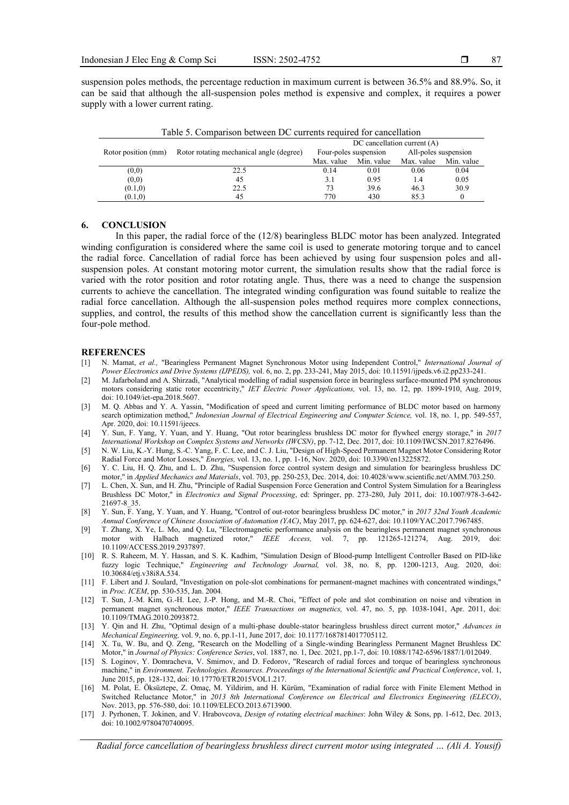suspension poles methods, the percentage reduction in maximum current is between 36.5% and 88.9%. So, it can be said that although the all-suspension poles method is expensive and complex, it requires a power supply with a lower current rating.

| Table 5. Comparison between DC currents required for cancellation |                                          |                                 |            |                      |            |  |
|-------------------------------------------------------------------|------------------------------------------|---------------------------------|------------|----------------------|------------|--|
|                                                                   |                                          | $DC$ cancellation current $(A)$ |            |                      |            |  |
| Rotor position (mm)                                               | Rotor rotating mechanical angle (degree) | Four-poles suspension           |            | All-poles suspension |            |  |
|                                                                   |                                          | Max. value                      | Min. value | Max. value           | Min. value |  |
| (0,0)                                                             | 22.5                                     | 0.14                            | 0.01       | 0.06                 | 0.04       |  |
| (0,0)                                                             | 45                                       | 3.1                             | 0.95       | 1.4                  | 0.05       |  |
| (0.1, 0)                                                          | 22.5                                     | 73                              | 39.6       | 46.3                 | 30.9       |  |
| (0.1, 0)                                                          | 45                                       | 770                             | 430        | 85.3                 |            |  |

## **6. CONCLUSION**

In this paper, the radial force of the (12/8) bearingless BLDC motor has been analyzed. Integrated winding configuration is considered where the same coil is used to generate motoring torque and to cancel the radial force. Cancellation of radial force has been achieved by using four suspension poles and allsuspension poles. At constant motoring motor current, the simulation results show that the radial force is varied with the rotor position and rotor rotating angle. Thus, there was a need to change the suspension currents to achieve the cancellation. The integrated winding configuration was found suitable to realize the radial force cancellation. Although the all-suspension poles method requires more complex connections, supplies, and control, the results of this method show the cancellation current is significantly less than the four-pole method.

#### **REFERENCES**

- <span id="page-8-0"></span>[1] N. Mamat, *et al.,* "Bearingless Permanent Magnet Synchronous Motor using Independent Control," *International Journal of Power Electronics and Drive Systems (IJPEDS),* vol. 6, no. 2, pp. 233-241, May 2015, doi: 10.11591/ijpeds.v6.i2.pp233-241.
- <span id="page-8-1"></span>[2] M. Jafarboland and A. Shirzadi, "Analytical modelling of radial suspension force in bearingless surface-mounted PM synchronous motors considering static rotor eccentricity," *IET Electric Power Applications,* vol. 13, no. 12, pp. 1899-1910, Aug. 2019, doi: 10.1049/iet-epa.2018.5607.
- [3] M. Q. Abbas and Y. A. Yassin, "Modification of speed and current limiting performance of BLDC motor based on harmony search optimization method," *Indonesian Journal of Electrical Engineering and Computer Science,* vol. 18, no. 1, pp. 549-557, Apr. 2020, doi: 10.11591/ijeecs.
- <span id="page-8-6"></span>[4] Y. Sun, F. Yang, Y. Yuan, and Y. Huang, "Out rotor bearingless brushless DC motor for flywheel energy storage," in *2017 International Workshop on Complex Systems and Networks (IWCSN)*, pp. 7-12, Dec. 2017, doi: 10.1109/IWCSN.2017.8276496.
- <span id="page-8-2"></span>[5] N. W. Liu, K.-Y. Hung, S.-C. Yang, F. C. Lee, and C. J. Liu, "Design of High-Speed Permanent Magnet Motor Considering Rotor Radial Force and Motor Losses," *Energies,* vol. 13, no. 1, pp. 1-16, Nov. 2020, doi: 10.3390/en13225872.
- [6] Y. C. Liu, H. Q. Zhu, and L. D. Zhu, "Suspension force control system design and simulation for bearingless brushless DC motor," in *Applied Mechanics and Materials*, vol. 703, pp. 250-253, Dec. 2014, doi: 10.4028/www.scientific.net/AMM.703.250.
- [7] L. Chen, X. Sun, and H. Zhu, "Principle of Radial Suspension Force Generation and Control System Simulation for a Bearingless Brushless DC Motor," in *Electronics and Signal Processing*, ed: Springer, pp. 273-280, July 2011, doi: 10.1007/978-3-642- 21697-8\_35.
- <span id="page-8-3"></span>[8] Y. Sun, F. Yang, Y. Yuan, and Y. Huang, "Control of out-rotor bearingless brushless DC motor," in *2017 32nd Youth Academic Annual Conference of Chinese Association of Automation (YAC)*, May 2017, pp. 624-627, doi: 10.1109/YAC.2017.7967485.
- <span id="page-8-4"></span>[9] T. Zhang, X. Ye, L. Mo, and Q. Lu, "Electromagnetic performance analysis on the bearingless permanent magnet synchronous motor with Halbach magnetized rotor," *IEEE Access,* vol. 7, pp. 121265-121274, Aug. 2019, doi: 10.1109/ACCESS.2019.2937897.
- <span id="page-8-5"></span>[10] R. S. Raheem, M. Y. Hassan, and S. K. Kadhim, "Simulation Design of Blood-pump Intelligent Controller Based on PID-like fuzzy logic Technique," *Engineering and Technology Journal,* vol. 38, no. 8, pp. 1200-1213, Aug. 2020, doi: 10.30684/etj.v38i8A.534.
- <span id="page-8-7"></span>[11] F. Libert and J. Soulard, "Investigation on pole-slot combinations for permanent-magnet machines with concentrated windings," in *Proc. ICEM*, pp. 530-535, Jan. 2004.
- <span id="page-8-8"></span>[12] T. Sun, J.-M. Kim, G.-H. Lee, J.-P. Hong, and M.-R. Choi, "Effect of pole and slot combination on noise and vibration in permanent magnet synchronous motor," *IEEE Transactions on magnetics,* vol. 47, no. 5, pp. 1038-1041, Apr. 2011, doi: 10.1109/TMAG.2010.2093872.
- <span id="page-8-9"></span>[13] Y. Qin and H. Zhu, "Optimal design of a multi-phase double-stator bearingless brushless direct current motor," *Advances in Mechanical Engineering,* vol. 9, no. 6, pp.1-11, June 2017, doi: 10.1177/1687814017705112.
- <span id="page-8-10"></span>[14] X. Tu, W. Bu, and Q. Zeng, "Research on the Modelling of a Single-winding Bearingless Permanent Magnet Brushless DC Motor," in *Journal of Physics: Conference Series*, vol. 1887, no. 1, Dec. 2021, pp.1-7, doi: 10.1088/1742-6596/1887/1/012049.
- <span id="page-8-11"></span>[15] S. Loginov, Y. Domracheva, V. Smirnov, and D. Fedorov, "Research of radial forces and torque of bearingless synchronous machine," in *Environment. Technologies. Resources. Proceedings of the International Scientific and Practical Conference*, vol. 1, June 2015, pp. 128-132, doi: 10.17770/ETR2015VOL1.217.
- <span id="page-8-12"></span>[16] M. Polat, E. Öksüztepe, Z. Omaç, M. Yildirim, and H. Kürüm, "Examination of radial force with Finite Element Method in Switched Reluctance Motor," in *2013 8th International Conference on Electrical and Electronics Engineering (ELECO)*, Nov. 2013, pp. 576-580, doi: 10.1109/ELECO.2013.6713900.
- [17] J. Pyrhonen, T. Jokinen, and V. Hrabovcova, *Design of rotating electrical machines*: John Wiley & Sons, pp. 1-612, Dec. 2013, doi: 10.1002/9780470740095.

*Radial force cancellation of bearingless brushless direct current motor using integrated … (Ali A. Yousif)*